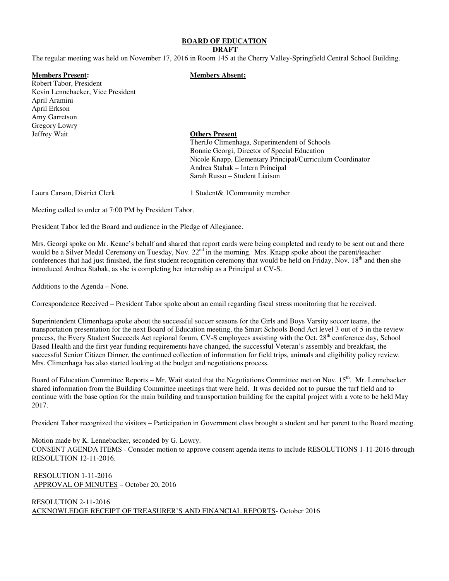## **BOARD OF EDUCATION**

#### **DRAFT**

The regular meeting was held on November 17, 2016 in Room 145 at the Cherry Valley-Springfield Central School Building.

### **Members Present: Members Absent:**

Robert Tabor, President Kevin Lennebacker, Vice President April Aramini April Erkson Amy Garretson Gregory Lowry Jeffrey Wait **Others Present**

 TheriJo Climenhaga, Superintendent of Schools Bonnie Georgi, Director of Special Education Nicole Knapp, Elementary Principal/Curriculum Coordinator Andrea Stabak – Intern Principal Sarah Russo – Student Liaison

Laura Carson, District Clerk 1 Student& 1 Community member

Meeting called to order at 7:00 PM by President Tabor.

President Tabor led the Board and audience in the Pledge of Allegiance.

Mrs. Georgi spoke on Mr. Keane's behalf and shared that report cards were being completed and ready to be sent out and there would be a Silver Medal Ceremony on Tuesday, Nov. 22<sup>nd</sup> in the morning. Mrs. Knapp spoke about the parent/teacher conferences that had just finished, the first student recognition ceremony that would be held on Friday, Nov. 18<sup>th</sup> and then she introduced Andrea Stabak, as she is completing her internship as a Principal at CV-S.

Additions to the Agenda – None.

Correspondence Received – President Tabor spoke about an email regarding fiscal stress monitoring that he received.

Superintendent Climenhaga spoke about the successful soccer seasons for the Girls and Boys Varsity soccer teams, the transportation presentation for the next Board of Education meeting, the Smart Schools Bond Act level 3 out of 5 in the review process, the Every Student Succeeds Act regional forum, CV-S employees assisting with the Oct. 28<sup>th</sup> conference day, School Based Health and the first year funding requirements have changed, the successful Veteran's assembly and breakfast, the successful Senior Citizen Dinner, the continued collection of information for field trips, animals and eligibility policy review. Mrs. Climenhaga has also started looking at the budget and negotiations process.

Board of Education Committee Reports – Mr. Wait stated that the Negotiations Committee met on Nov. 15<sup>th</sup>. Mr. Lennebacker shared information from the Building Committee meetings that were held. It was decided not to pursue the turf field and to continue with the base option for the main building and transportation building for the capital project with a vote to be held May 2017.

President Tabor recognized the visitors – Participation in Government class brought a student and her parent to the Board meeting.

Motion made by K. Lennebacker, seconded by G. Lowry.

CONSENT AGENDA ITEMS - Consider motion to approve consent agenda items to include RESOLUTIONS 1-11-2016 through RESOLUTION 12-11-2016.

 RESOLUTION 1-11-2016 APPROVAL OF MINUTES – October 20, 2016

RESOLUTION 2-11-2016 ACKNOWLEDGE RECEIPT OF TREASURER'S AND FINANCIAL REPORTS- October 2016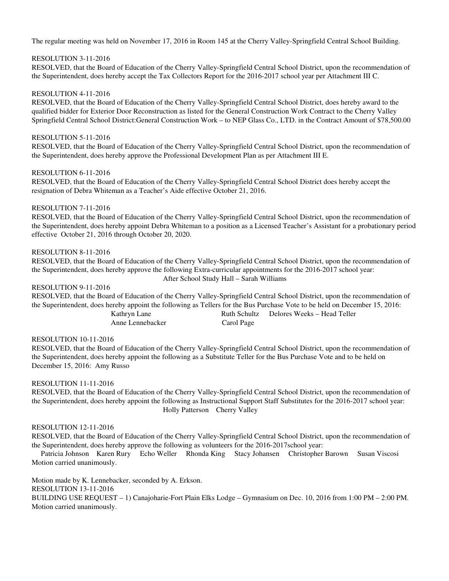The regular meeting was held on November 17, 2016 in Room 145 at the Cherry Valley-Springfield Central School Building.

# RESOLUTION 3-11-2016

RESOLVED, that the Board of Education of the Cherry Valley-Springfield Central School District, upon the recommendation of the Superintendent, does hereby accept the Tax Collectors Report for the 2016-2017 school year per Attachment III C.

## RESOLUTION 4-11-2016

RESOLVED, that the Board of Education of the Cherry Valley-Springfield Central School District, does hereby award to the qualified bidder for Exterior Door Reconstruction as listed for the General Construction Work Contract to the Cherry Valley Springfield Central School District:General Construction Work – to NEP Glass Co., LTD. in the Contract Amount of \$78,500.00

## RESOLUTION 5-11-2016

RESOLVED, that the Board of Education of the Cherry Valley-Springfield Central School District, upon the recommendation of the Superintendent, does hereby approve the Professional Development Plan as per Attachment III E.

### RESOLUTION 6-11-2016

RESOLVED, that the Board of Education of the Cherry Valley-Springfield Central School District does hereby accept the resignation of Debra Whiteman as a Teacher's Aide effective October 21, 2016.

### RESOLUTION 7-11-2016

RESOLVED, that the Board of Education of the Cherry Valley-Springfield Central School District, upon the recommendation of the Superintendent, does hereby appoint Debra Whiteman to a position as a Licensed Teacher's Assistant for a probationary period effective October 21, 2016 through October 20, 2020.

### RESOLUTION 8-11-2016

 RESOLVED, that the Board of Education of the Cherry Valley-Springfield Central School District, upon the recommendation of the Superintendent, does hereby approve the following Extra-curricular appointments for the 2016-2017 school year: After School Study Hall – Sarah Williams

#### RESOLUTION 9-11-2016

RESOLVED, that the Board of Education of the Cherry Valley-Springfield Central School District, upon the recommendation of the Superintendent, does hereby appoint the following as Tellers for the Bus Purchase Vote to be held on December 15, 2016: Kathryn Lane Ruth Schultz Delores Weeks – Head Teller

Anne Lennebacker Carol Page

# RESOLUTION 10-11-2016

RESOLVED, that the Board of Education of the Cherry Valley-Springfield Central School District, upon the recommendation of the Superintendent, does hereby appoint the following as a Substitute Teller for the Bus Purchase Vote and to be held on December 15, 2016: Amy Russo

# RESOLUTION 11-11-2016

 RESOLVED, that the Board of Education of the Cherry Valley-Springfield Central School District, upon the recommendation of the Superintendent, does hereby appoint the following as Instructional Support Staff Substitutes for the 2016-2017 school year: Holly Patterson Cherry Valley

#### RESOLUTION 12-11-2016

 RESOLVED, that the Board of Education of the Cherry Valley-Springfield Central School District, upon the recommendation of the Superintendent, does hereby approve the following as volunteers for the 2016-2017school year:

 Patricia Johnson Karen Rury Echo Weller Rhonda King Stacy Johansen Christopher Barown Susan Viscosi Motion carried unanimously.

 Motion made by K. Lennebacker, seconded by A. Erkson. RESOLUTION 13-11-2016 BUILDING USE REQUEST – 1) Canajoharie-Fort Plain Elks Lodge – Gymnasium on Dec. 10, 2016 from 1:00 PM – 2:00 PM. Motion carried unanimously.